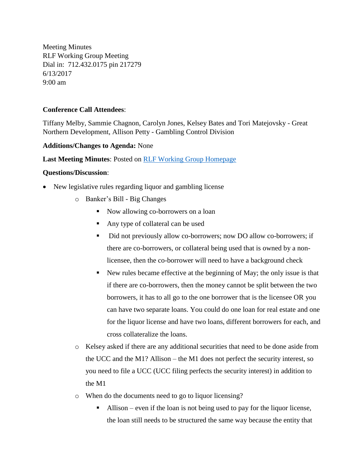Meeting Minutes RLF Working Group Meeting Dial in: 712.432.0175 pin 217279 6/13/2017 9:00 am

## **Conference Call Attendees**:

Tiffany Melby, Sammie Chagnon, Carolyn Jones, Kelsey Bates and Tori Matejovsky - Great Northern Development, Allison Petty - Gambling Control Division

## **Additions/Changes to Agenda:** None

**Last Meeting Minutes**: Posted on [RLF Working Group Homepage](http://www.medamembers.org/meda/working-groups/revolving-loan-fund/?cat=Revolving%20Loan%20Fund&keyword=&submit=Submit&video=1&photo=1&audio=1&document=1&link=1&compact=1)

## **Questions/Discussion**:

- New legislative rules regarding liquor and gambling license
	- o Banker's Bill Big Changes
		- Now allowing co-borrowers on a loan
		- Any type of collateral can be used
		- Did not previously allow co-borrowers; now DO allow co-borrowers; if there are co-borrowers, or collateral being used that is owned by a nonlicensee, then the co-borrower will need to have a background check
		- New rules became effective at the beginning of May; the only issue is that if there are co-borrowers, then the money cannot be split between the two borrowers, it has to all go to the one borrower that is the licensee OR you can have two separate loans. You could do one loan for real estate and one for the liquor license and have two loans, different borrowers for each, and cross collateralize the loans.
	- o Kelsey asked if there are any additional securities that need to be done aside from the UCC and the M1? Allison – the M1 does not perfect the security interest, so you need to file a UCC (UCC filing perfects the security interest) in addition to the M1
	- o When do the documents need to go to liquor licensing?
		- Allison even if the loan is not being used to pay for the liquor license, the loan still needs to be structured the same way because the entity that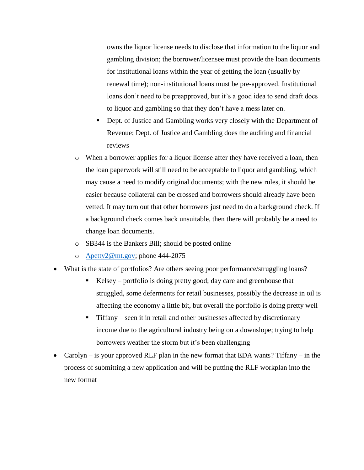owns the liquor license needs to disclose that information to the liquor and gambling division; the borrower/licensee must provide the loan documents for institutional loans within the year of getting the loan (usually by renewal time); non-institutional loans must be pre-approved. Institutional loans don't need to be preapproved, but it's a good idea to send draft docs to liquor and gambling so that they don't have a mess later on.

- Dept. of Justice and Gambling works very closely with the Department of Revenue; Dept. of Justice and Gambling does the auditing and financial reviews
- o When a borrower applies for a liquor license after they have received a loan, then the loan paperwork will still need to be acceptable to liquor and gambling, which may cause a need to modify original documents; with the new rules, it should be easier because collateral can be crossed and borrowers should already have been vetted. It may turn out that other borrowers just need to do a background check. If a background check comes back unsuitable, then there will probably be a need to change loan documents.
- o SB344 is the Bankers Bill; should be posted online
- o [Apetty2@mt.gov;](mailto:Apetty2@mt.gov) phone 444-2075
- What is the state of portfolios? Are others seeing poor performance/struggling loans?
	- $Kelsey$  portfolio is doing pretty good; day care and greenhouse that struggled, some deferments for retail businesses, possibly the decrease in oil is affecting the economy a little bit, but overall the portfolio is doing pretty well
	- **•** Tiffany seen it in retail and other businesses affected by discretionary income due to the agricultural industry being on a downslope; trying to help borrowers weather the storm but it's been challenging
- Carolyn is your approved RLF plan in the new format that EDA wants? Tiffany in the process of submitting a new application and will be putting the RLF workplan into the new format